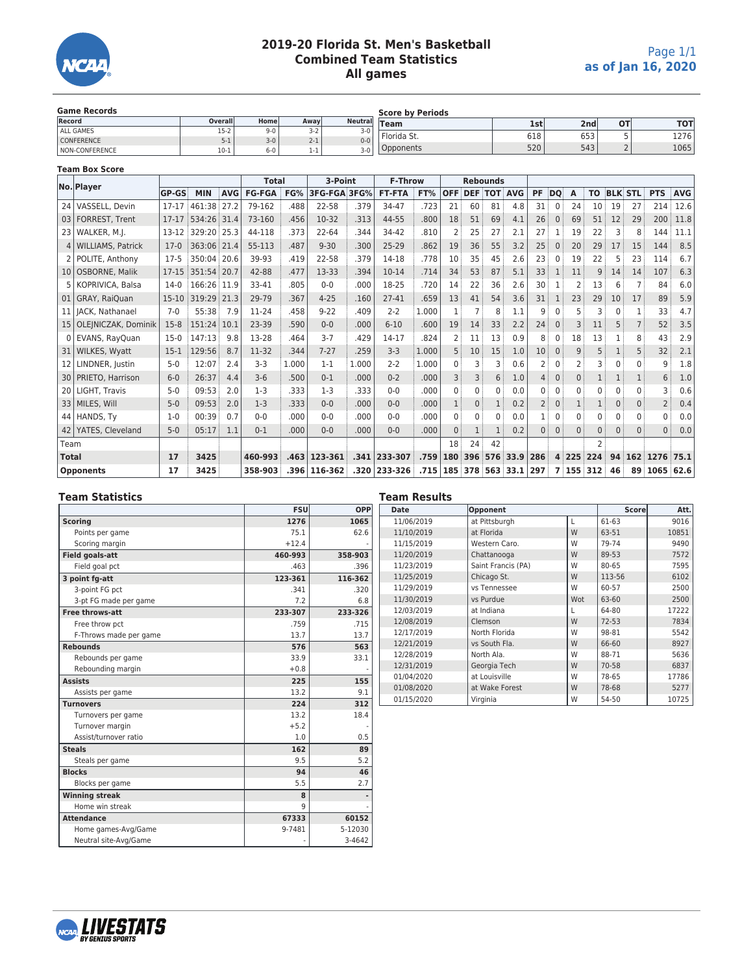

# **2019-20 Florida St. Men's Basketball Combined Team Statistics All games**

| <b>Game Records</b>   |         |         |         | <b>Score by Periods</b> |             |     |                  |           |            |  |  |
|-----------------------|---------|---------|---------|-------------------------|-------------|-----|------------------|-----------|------------|--|--|
| Record                | Overall | Homel   | Awavl   | <b>Neutral</b>          | <b>Team</b> | 1st | 2nd <sub>l</sub> | <b>OT</b> | <b>TOT</b> |  |  |
| ALL GAMES             | $15-2$  | $9 - 0$ | $3 - 2$ | $3-0$                   |             |     |                  |           |            |  |  |
| <b>CONFERENCE</b>     | $5-1$   | $3 - 0$ | $2 - 1$ | $0 - 0$                 | Florida St. | 618 | 653              |           | 1276       |  |  |
| <b>NON-CONFERENCE</b> | $10-1$  | $6 - 0$ | 1-1     | $3-0$                   | Opponents   | 520 | 543              |           | 1065       |  |  |

#### **Team Box Score**

|                 | No. Player            |              |             |            | <b>Total</b>  |       | 3-Point      |       | <b>F-Throw</b> |            | <b>Rebounds</b> |              |          |                    |           |                |         |                |                |          |                |            |
|-----------------|-----------------------|--------------|-------------|------------|---------------|-------|--------------|-------|----------------|------------|-----------------|--------------|----------|--------------------|-----------|----------------|---------|----------------|----------------|----------|----------------|------------|
|                 |                       | <b>GP-GS</b> | <b>MIN</b>  | <b>AVG</b> | <b>FG-FGA</b> | FG%   | 3FG-FGA 3FG% |       | <b>FT-FTA</b>  | FT%        | <b>OFF</b>      |              |          | <b>DEF TOT AVG</b> | <b>PF</b> | <b>DO</b>      | A       | <b>TO</b>      | <b>BLK STL</b> |          | <b>PTS</b>     | <b>AVG</b> |
|                 | 24 VASSELL, Devin     | $17 - 17$    | 461:38      | 27.2       | 79-162        | .488  | 22-58        | .379  | 34-47          | .723       | 21              | 60           | 81       | 4.8                | 31        | $\Omega$       | 24      | 10             | 19             | 27       | 214            | 12.6       |
|                 | 03   FORREST, Trent   | $17 - 17$    | 534:26 31.4 |            | 73-160        | .456  | 10-32        | .313  | 44-55          | .800       | 18              | 51           | 69       | 4.1                | 26        | $\mathbf{0}$   | 69      | 51             | 12             | 29       | 200            | 11.8       |
|                 | 23 WALKER, M.I.       | 13-12        | 329:20 25.3 |            | 44-118        | .373  | $22 - 64$    | .344  | 34-42          | .810       | 2               | 25           | 27       | 2.1                | 27        | 1              | 19      | 22             | 3              | 8        | 144            | 11.1       |
|                 | 4   WILLIAMS, Patrick | $17-0$       | 363:06 21.4 |            | 55-113        | .487  | $9 - 30$     | .300  | 25-29          | .862       | 19              | 36           | 55       | 3.2                | 25        | $\mathbf{0}$   | 20      | 29             | 17             | 15       | 144            | 8.5        |
|                 | 2   POLITE, Anthony   | $17-5$       | 350:04 20.6 |            | 39-93         | .419  | 22-58        | .379  | 14-18          | .778       | 10              | 35           | 45       | 2.6                | 23        | $\Omega$       | 19      | 22             | 5              | 23       | 114            | 6.7        |
|                 | 10   OSBORNE, Malik   | 17-15        | 351:54 20.7 |            | 42-88         | .477  | 13-33        | .394  | $10 - 14$      | .714       | 34              | 53           | 87       | 5.1                | 33        | 1              | 11      | 9              | 14             | 14       | 107            | 6.3        |
|                 | 5   KOPRIVICA, Balsa  | $14-0$       | 166:26 11.9 |            | 33-41         | .805  | $0-0$        | .000  | 18-25          | .720       | 14              | 22           | 36       | 2.6                | 30        | 1              | 2       | 13             | 6              |          | 84             | 6.0        |
| 01              | GRAY, RaiOuan         | $15-10$      | 319:29 21.3 |            | 29-79         | .367  | $4 - 25$     | .160  | 27-41          | .659       | 13              | 41           | 54       | 3.6                | 31        | 1              | 23      | 29             | 10             | 17       | 89             | 5.9        |
|                 | 11   JACK, Nathanael  | $7-0$        | 55:38       | 7.9        | 11-24         | .458  | $9 - 22$     | .409  | $2 - 2$        | 1.000      |                 |              | 8        | 1.1                |           |                |         |                |                |          | 33             | 4.7        |
| 15              | OLEJNICZAK, Dominik   | $15-8$       | 151:24 10.1 |            | 23-39         | .590  | $0 - 0$      | .000  | $6 - 10$       | .600       | 19              | 14           | 33       | 2.2                | 24        | $\Omega$       | 3       | 11             | 5              | 7        | 52             | 3.5        |
|                 | 0 EVANS, RayQuan      | $15-0$       | 147:13      | 9.8        | 13-28         | .464  | $3 - 7$      | .429  | 14-17          | .824       | 2               | 11           | 13       | 0.9                | 8         | $\Omega$       | 18      | 13             |                | 8        | 43             | 2.9        |
| 31              | <b>WILKES, Wyatt</b>  | $15-1$       | 129:56      | 8.7        | 11-32         | .344  | $7 - 27$     | .259  | $3 - 3$        | 1.000      |                 | 10           | 15       | 1.0                | 10        | $\mathbf{0}$   | 9       | 5              |                | 5        | 32             | 2.1        |
| 12 <sub>1</sub> | LINDNER, Justin       | $5 - 0$      | 12:07       | 2.4        | $3 - 3$       | 1.000 | $1 - 1$      | 1.000 | $2 - 2$        | 1.000      | 0               |              | 3        | 0.6                |           | $\Omega$       |         | 3              |                | 0        | 9              | 1.8        |
|                 | 30   PRIETO, Harrison | $6-0$        | 26:37       | 4.4        | $3-6$         | .500  | $0 - 1$      | .000  | $0 - 2$        | .000       |                 | 3            | 6        | 1.0                |           | $\mathbf{0}$   | 0       |                |                |          | 6              | 1.0        |
|                 | 20   LIGHT, Travis    | $5-0$        | 09:53       | 2.0        | $1-3$         | .333  | $1-3$        | .333  | $0 - 0$        | .000       | 0               | $\Omega$     | $\Omega$ | 0.0                | 0         | $\Omega$       | 0       | $\mathbf 0$    | $\Omega$       | 0        | 3              | 0.6        |
|                 | 33   MILES, Will      | $5 - 0$      | 09:53       | 2.0        | $1 - 3$       | .333  | $0 - 0$      | .000  | $0 - 0$        | .000       |                 | $\mathbf{0}$ |          | 0.2                |           | $\mathbf 0$    |         | 1              | $\Omega$       | $\Omega$ | $\overline{2}$ | 0.4        |
|                 | 44 HANDS, Ty          | $1-0$        | 00:39       | 0.7        | $0 - 0$       | .000  | $0 - 0$      | .000  | $0 - 0$        | .000       | $\Omega$        | $\Omega$     | 0        | 0.0                |           | $\Omega$       | U       | $\Omega$       |                | U        | U              | 0.0        |
| 42              | YATES, Cleveland      | $5 - 0$      | 05:17       | 1.1        | $0 - 1$       | .000  | $0 - 0$      | .000  | $0 - 0$        | .000       | $\Omega$        |              |          | 0.2                |           | $\mathbf{0}$   | 0       | 0              | $\Omega$       | $\Omega$ | $\Omega$       | 0.0        |
| Team            |                       |              |             |            |               |       |              |       |                |            | 18              | 24           | 42       |                    |           |                |         | $\overline{2}$ |                |          |                |            |
| <b>Total</b>    |                       | 17           | 3425        |            | 460-993       | .463  | 123-361      | .341  | 233-307        | .759       | 180             | 396          |          | 576 33.9 286       |           |                | 4 225   | 224            | 94             |          | 162 1276 75.1  |            |
|                 | Opponents             | 17           | 3425        |            | 358-903       |       | .396 116-362 | .320  | 233-326        | .715   185 |                 | 378          |          | 563 33.1 297       |           | $\overline{7}$ | 155 312 |                | 46             |          | 89 1065 62.6   |            |

# **Team Statistic**

| <b>Team Statistics</b> |            |            | <b>Team Results</b> |                    |     |           |       |  |  |  |  |
|------------------------|------------|------------|---------------------|--------------------|-----|-----------|-------|--|--|--|--|
|                        | <b>FSU</b> | <b>OPP</b> | Date                | Opponent           |     |           |       |  |  |  |  |
| <b>Scoring</b>         | 1276       | 1065       | 11/06/2019          | at Pittsburgh      |     | 61-63     | 9016  |  |  |  |  |
| Points per game        | 75.1       | 62.6       | 11/10/2019          | at Florida         | W   | 63-51     | 10851 |  |  |  |  |
| Scoring margin         | $+12.4$    |            | 11/15/2019          | Western Caro.      | W   | 79-74     | 9490  |  |  |  |  |
| <b>Field goals-att</b> | 460-993    | 358-903    | 11/20/2019          | Chattanooga        | W   | 89-53     | 7572  |  |  |  |  |
| Field goal pct         | .463       | .396       | 11/23/2019          | Saint Francis (PA) | W   | 80-65     | 7595  |  |  |  |  |
| 3 point fg-att         | 123-361    | 116-362    | 11/25/2019          | Chicago St.        | W   | 113-56    | 6102  |  |  |  |  |
| 3-point FG pct         | .341       | .320       | 11/29/2019          | vs Tennessee       | W   | 60-57     | 2500  |  |  |  |  |
| 3-pt FG made per game  | 7.2        | 6.8        | 11/30/2019          | vs Purdue          | Wot | 63-60     | 2500  |  |  |  |  |
| <b>Free throws-att</b> | 233-307    | 233-326    | 12/03/2019          | at Indiana         |     | 64-80     | 17222 |  |  |  |  |
| Free throw pct         | .759       | .715       | 12/08/2019          | Clemson            | W   | $72 - 53$ | 7834  |  |  |  |  |
| F-Throws made per game | 13.7       | 13.7       | 12/17/2019          | North Florida      | W   | 98-81     | 5542  |  |  |  |  |
| <b>Rebounds</b>        | 576        | 563        | 12/21/2019          | vs South Fla.      | W   | 66-60     | 8927  |  |  |  |  |
| Rebounds per game      | 33.9       | 33.1       | 12/28/2019          | North Ala.         | W   | 88-71     | 5636  |  |  |  |  |
| Rebounding margin      | $+0.8$     |            | 12/31/2019          | Georgia Tech       | W   | 70-58     | 6837  |  |  |  |  |
| <b>Assists</b>         | 225        | 155        | 01/04/2020          | at Louisville      | W   | 78-65     | 17786 |  |  |  |  |
| Assists per game       | 13.2       | 9.1        | 01/08/2020          | at Wake Forest     | W   | 78-68     | 5277  |  |  |  |  |
| <b>Turnovers</b>       | 224        | 312        | 01/15/2020          | Virginia           | W   | 54-50     | 10725 |  |  |  |  |
| Turnovers per game     | 13.2       | 18.4       |                     |                    |     |           |       |  |  |  |  |
| Turnover margin        | $+5.2$     |            |                     |                    |     |           |       |  |  |  |  |
| Assist/turnover ratio  | 1.0        | 0.5        |                     |                    |     |           |       |  |  |  |  |
| <b>Steals</b>          | 162        | 89         |                     |                    |     |           |       |  |  |  |  |
| Steals per game        | 9.5        | 5.2        |                     |                    |     |           |       |  |  |  |  |
| <b>Blocks</b>          | 94         | 46         |                     |                    |     |           |       |  |  |  |  |
| Blocks per game        | 5.5        | 2.7        |                     |                    |     |           |       |  |  |  |  |
| <b>Winning streak</b>  | 8          |            |                     |                    |     |           |       |  |  |  |  |
| Home win streak        | q          |            |                     |                    |     |           |       |  |  |  |  |
| <b>Attendance</b>      | 67333      | 60152      |                     |                    |     |           |       |  |  |  |  |
| Home games-Avg/Game    | 9-7481     | 5-12030    |                     |                    |     |           |       |  |  |  |  |
| Neutral site-Avg/Game  |            | 3-4642     |                     |                    |     |           |       |  |  |  |  |